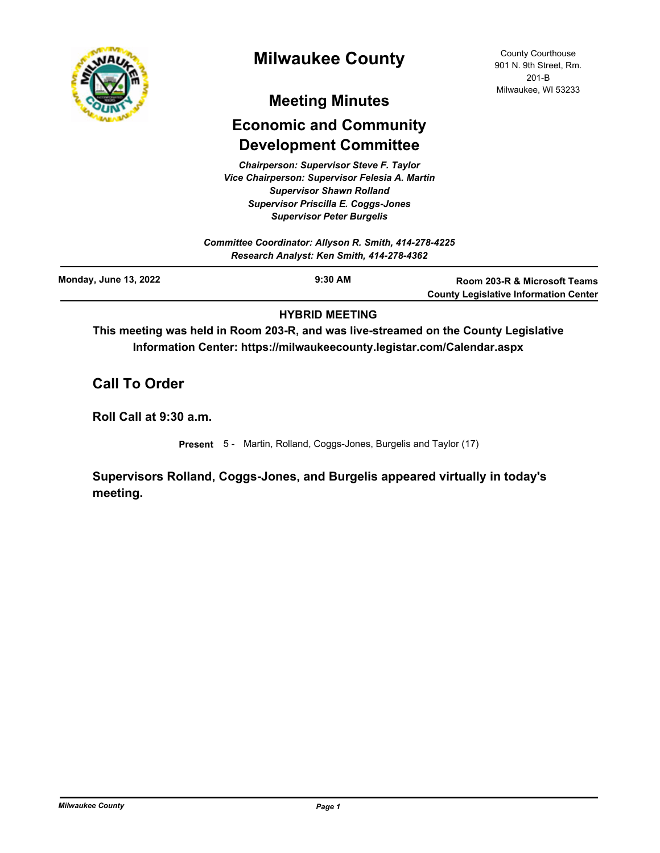

# **Milwaukee County**

# **Meeting Minutes**

# **Economic and Community Development Committee**

*Chairperson: Supervisor Steve F. Taylor Vice Chairperson: Supervisor Felesia A. Martin Supervisor Shawn Rolland Supervisor Priscilla E. Coggs-Jones Supervisor Peter Burgelis*

| Committee Coordinator: Allyson R. Smith, 414-278-4225<br>Research Analyst: Ken Smith, 414-278-4362 |           |                                                                              |
|----------------------------------------------------------------------------------------------------|-----------|------------------------------------------------------------------------------|
| <b>Monday, June 13, 2022</b>                                                                       | $9:30$ AM | Room 203-R & Microsoft Teams<br><b>County Legislative Information Center</b> |

## **HYBRID MEETING**

**This meeting was held in Room 203-R, and was live-streamed on the County Legislative Information Center: https://milwaukeecounty.legistar.com/Calendar.aspx**

**Call To Order**

**Roll Call at 9:30 a.m.**

**Present** 5 - Martin, Rolland, Coggs-Jones, Burgelis and Taylor (17)

**Supervisors Rolland, Coggs-Jones, and Burgelis appeared virtually in today's meeting.**

County Courthouse 901 N. 9th Street, Rm. 201-B Milwaukee, WI 53233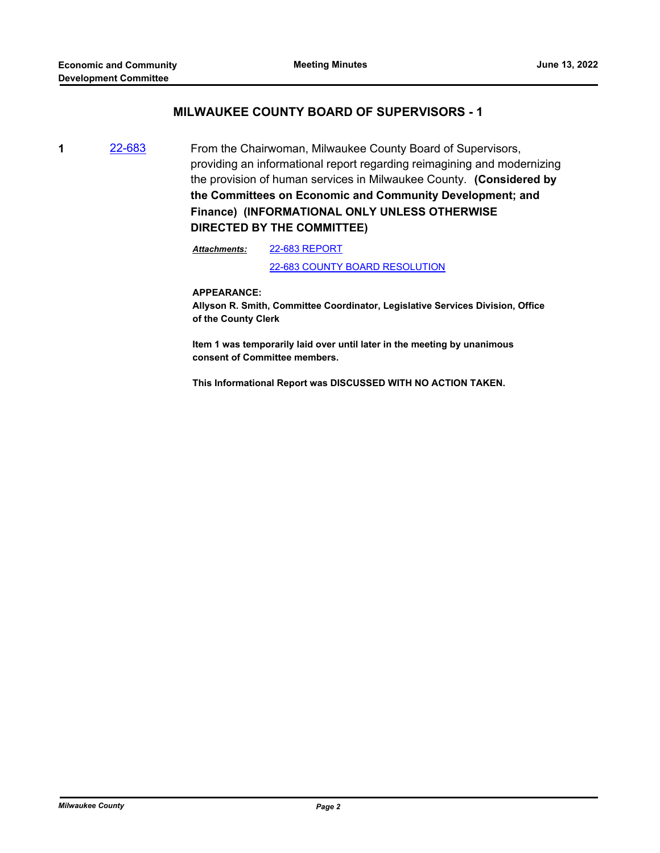### **MILWAUKEE COUNTY BOARD OF SUPERVISORS - 1**

**1** [22-683](http://milwaukeecounty.legistar.com/gateway.aspx?m=l&id=/matter.aspx?key=12382) From the Chairwoman, Milwaukee County Board of Supervisors, providing an informational report regarding reimagining and modernizing the provision of human services in Milwaukee County. **(Considered by the Committees on Economic and Community Development; and Finance) (INFORMATIONAL ONLY UNLESS OTHERWISE DIRECTED BY THE COMMITTEE)**

> [22-683 REPORT](http://MilwaukeeCounty.legistar.com/gateway.aspx?M=F&ID=07dede02-3082-44b9-9edf-868983612797.pdf) [22-683 COUNTY BOARD RESOLUTION](http://MilwaukeeCounty.legistar.com/gateway.aspx?M=F&ID=74e7dbad-9d04-401b-b91b-a0d68ddb1ba4.pdf) *Attachments:*

#### **APPEARANCE:**

**Allyson R. Smith, Committee Coordinator, Legislative Services Division, Office of the County Clerk**

**Item 1 was temporarily laid over until later in the meeting by unanimous consent of Committee members.** 

**This Informational Report was DISCUSSED WITH NO ACTION TAKEN.**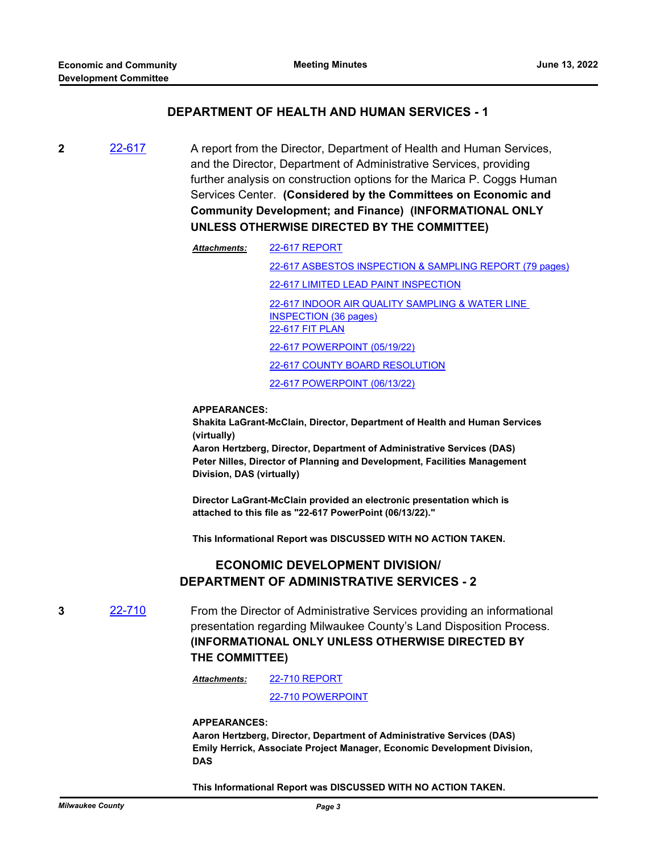### **DEPARTMENT OF HEALTH AND HUMAN SERVICES - 1**

**2** [22-617](http://milwaukeecounty.legistar.com/gateway.aspx?m=l&id=/matter.aspx?key=12277) A report from the Director, Department of Health and Human Services, and the Director, Department of Administrative Services, providing further analysis on construction options for the Marica P. Coggs Human Services Center. **(Considered by the Committees on Economic and Community Development; and Finance) (INFORMATIONAL ONLY UNLESS OTHERWISE DIRECTED BY THE COMMITTEE)**

> [22-617 REPORT](http://MilwaukeeCounty.legistar.com/gateway.aspx?M=F&ID=13e38118-1af7-4b49-bf9a-fb530cc86b0e.pdf) [22-617 ASBESTOS INSPECTION & SAMPLING REPORT \(79 pages\)](http://MilwaukeeCounty.legistar.com/gateway.aspx?M=F&ID=10f88d6e-352a-4304-8365-1c5db82a6049.pdf) [22-617 LIMITED LEAD PAINT INSPECTION](http://MilwaukeeCounty.legistar.com/gateway.aspx?M=F&ID=ff996775-c500-4042-aee5-e2ea0265953e.pdf) [22-617 INDOOR AIR QUALITY SAMPLING & WATER LINE](http://MilwaukeeCounty.legistar.com/gateway.aspx?M=F&ID=2f7f1d2e-6273-4d1d-a90b-d3e5a0da0c4e.pdf)  INSPECTION (36 pages) [22-617 FIT PLAN](http://MilwaukeeCounty.legistar.com/gateway.aspx?M=F&ID=881e9403-bc7b-43dd-ad0d-1c3aeaf97ca9.pdf) [22-617 POWERPOINT \(05/19/22\)](http://MilwaukeeCounty.legistar.com/gateway.aspx?M=F&ID=e60e47bf-458e-4482-b65b-20b870b76b0f.pdf) [22-617 COUNTY BOARD RESOLUTION](http://MilwaukeeCounty.legistar.com/gateway.aspx?M=F&ID=ee5e79d1-8d6c-4d74-98c5-6eb717861e67.pdf) [22-617 POWERPOINT \(06/13/22\)](http://MilwaukeeCounty.legistar.com/gateway.aspx?M=F&ID=bf1392e8-c2d1-467f-a192-73db3a1dfbae.pdf) *Attachments:*

#### **APPEARANCES:**

**Shakita LaGrant-McClain, Director, Department of Health and Human Services (virtually)**

**Aaron Hertzberg, Director, Department of Administrative Services (DAS) Peter Nilles, Director of Planning and Development, Facilities Management Division, DAS (virtually)** 

**Director LaGrant-McClain provided an electronic presentation which is attached to this file as "22-617 PowerPoint (06/13/22)."** 

**This Informational Report was DISCUSSED WITH NO ACTION TAKEN.**

## **ECONOMIC DEVELOPMENT DIVISION/ DEPARTMENT OF ADMINISTRATIVE SERVICES - 2**

**3** [22-710](http://milwaukeecounty.legistar.com/gateway.aspx?m=l&id=/matter.aspx?key=12409) From the Director of Administrative Services providing an informational presentation regarding Milwaukee County's Land Disposition Process. **(INFORMATIONAL ONLY UNLESS OTHERWISE DIRECTED BY THE COMMITTEE)**

> [22-710 REPORT](http://MilwaukeeCounty.legistar.com/gateway.aspx?M=F&ID=9247b723-e8e2-499a-bddc-9f61743f9577.pdf) *Attachments:*

> > [22-710 POWERPOINT](http://MilwaukeeCounty.legistar.com/gateway.aspx?M=F&ID=c03a2163-55ec-4fe8-8052-4b7be6ba6192.pptx)

**APPEARANCES:**

**Aaron Hertzberg, Director, Department of Administrative Services (DAS) Emily Herrick, Associate Project Manager, Economic Development Division, DAS** 

**This Informational Report was DISCUSSED WITH NO ACTION TAKEN.**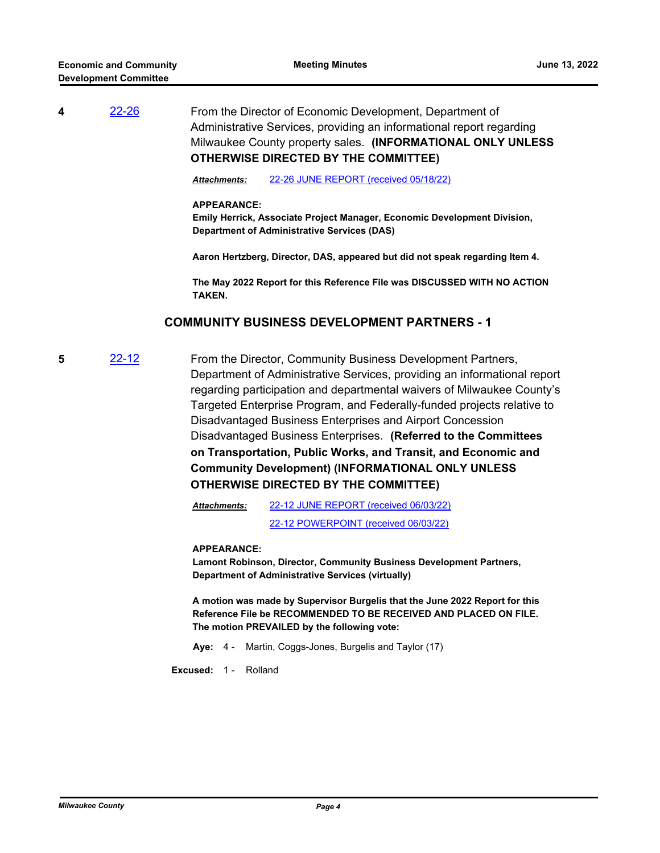# **4** [22-26](http://milwaukeecounty.legistar.com/gateway.aspx?m=l&id=/matter.aspx?key=11848) From the Director of Economic Development, Department of Administrative Services, providing an informational report regarding Milwaukee County property sales. **(INFORMATIONAL ONLY UNLESS OTHERWISE DIRECTED BY THE COMMITTEE)**

*Attachments:* [22-26 JUNE REPORT \(received 05/18/22\)](http://MilwaukeeCounty.legistar.com/gateway.aspx?M=F&ID=b8b3dcbb-e580-4be7-ac61-285139ce77bc.pdf)

#### **APPEARANCE:**

**Emily Herrick, Associate Project Manager, Economic Development Division, Department of Administrative Services (DAS)**

**Aaron Hertzberg, Director, DAS, appeared but did not speak regarding Item 4.** 

**The May 2022 Report for this Reference File was DISCUSSED WITH NO ACTION TAKEN.**

### **COMMUNITY BUSINESS DEVELOPMENT PARTNERS - 1**

**5** [22-12](http://milwaukeecounty.legistar.com/gateway.aspx?m=l&id=/matter.aspx?key=11834) From the Director, Community Business Development Partners, Department of Administrative Services, providing an informational report regarding participation and departmental waivers of Milwaukee County's Targeted Enterprise Program, and Federally-funded projects relative to Disadvantaged Business Enterprises and Airport Concession Disadvantaged Business Enterprises. **(Referred to the Committees on Transportation, Public Works, and Transit, and Economic and Community Development) (INFORMATIONAL ONLY UNLESS OTHERWISE DIRECTED BY THE COMMITTEE)**

> [22-12 JUNE REPORT \(received 06/03/22\)](http://MilwaukeeCounty.legistar.com/gateway.aspx?M=F&ID=d8454d13-1170-462d-8847-cef1ce296252.pdf) [22-12 POWERPOINT \(received 06/03/22\)](http://MilwaukeeCounty.legistar.com/gateway.aspx?M=F&ID=0d5a6e75-ff8f-41ce-8fc9-594de12676b7.pdf) *Attachments:*

#### **APPEARANCE:**

**Lamont Robinson, Director, Community Business Development Partners, Department of Administrative Services (virtually)**

**A motion was made by Supervisor Burgelis that the June 2022 Report for this Reference File be RECOMMENDED TO BE RECEIVED AND PLACED ON FILE. The motion PREVAILED by the following vote:**

**Aye:** 4 - Martin, Coggs-Jones, Burgelis and Taylor (17)

**Excused:** 1 - Rolland